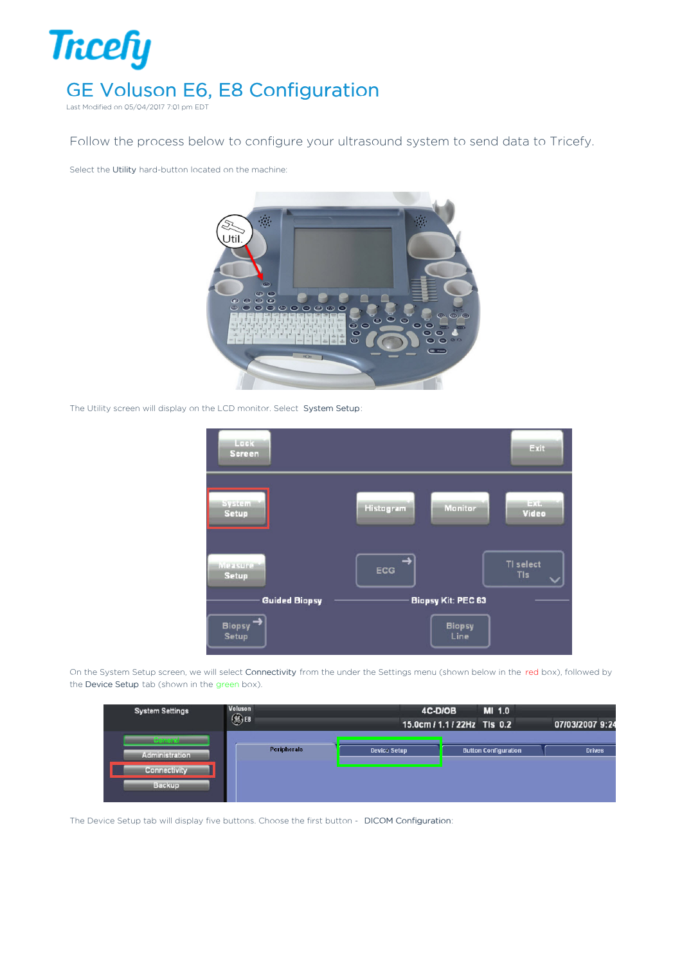

Follow the process below to configure your ultrasound system to send data to Tricefy.

Select the Utility hard-button located on the machine:



The Utility screen will display on the LCD monitor. Select System Setup:



On the System Setup screen, we will select Connectivity from the under the Settings menu (shown below in the red box), followed by the Device Setup tab (shown in the green box).



The Device Setup tab will display five buttons. Choose the first button - DICOM Configuration: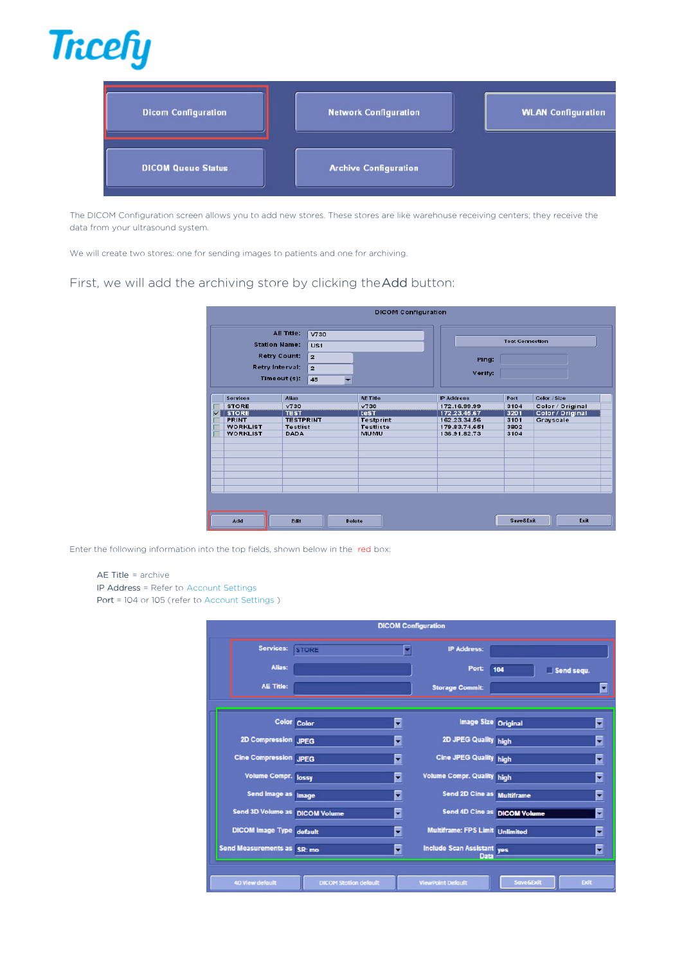

| <b>Dicom Configuration</b> | <b>Network Configuration</b> | <b>WLAN Configuration</b> |
|----------------------------|------------------------------|---------------------------|
| <b>DICOM Queue Status</b>  | <b>Archive Configuration</b> |                           |

The DICOM Configuration screen allows you to add new stores. These stores are like warehouse receiving centers; they receive the data from your ultrasound system.

We will create two stores: one for sending images to patients and one for archiving.

## First, we will add the archiving store by clicking theAdd button:

|                         |                                            |                                    |                 | <b>DICOM Configuration</b> |                  |                        |      |                  |
|-------------------------|--------------------------------------------|------------------------------------|-----------------|----------------------------|------------------|------------------------|------|------------------|
|                         |                                            | AE Title:                          | V730            |                            |                  |                        |      |                  |
|                         | <b>Station Name:</b>                       |                                    | US <sub>1</sub> |                            |                  | <b>Test Connection</b> |      |                  |
|                         | <b>Retry Count:</b><br>$\overline{2}$      |                                    |                 |                            |                  | Ping:                  |      |                  |
|                         | Retry Interval:                            |                                    | $\overline{2}$  |                            |                  | Verify:                |      |                  |
|                         | Timeout (s):<br>45                         |                                    | ▾               |                            |                  |                        |      |                  |
|                         |                                            |                                    |                 |                            |                  |                        |      |                  |
|                         | <b>Services</b>                            | <b>Alias</b>                       |                 | <b>AE Title</b>            | <b>P</b> Address |                        | Port | Color / Size     |
|                         | <b>STORE</b>                               | v730                               |                 | V730                       |                  | 172.16.99.99           | 3104 | Color / Original |
| $\overline{\mathbf{v}}$ | <b>STORE</b>                               | <b>TEST</b>                        |                 | test                       |                  | 172.23.45.67           | 3201 | Color / Original |
|                         | <b>PRINT</b>                               | <b>TESTPRINT</b>                   |                 | <b>Testprint</b>           |                  | 162.23.31.56           | 3101 | Grayscale        |
|                         |                                            | <b>WORKLIST</b><br><b>Testlist</b> |                 | <b>Testliste</b>           |                  | 179.83.74.651          | 3802 |                  |
|                         | <b>WORKLIST</b>                            | <b>DADA</b>                        |                 | <b>MUMU</b>                |                  | 136.91.82.73           | 3104 |                  |
|                         |                                            |                                    |                 |                            |                  |                        |      |                  |
|                         |                                            |                                    |                 |                            |                  |                        |      |                  |
|                         |                                            |                                    |                 |                            |                  |                        |      |                  |
|                         |                                            |                                    |                 |                            |                  |                        |      |                  |
|                         |                                            |                                    |                 |                            |                  |                        |      |                  |
|                         |                                            |                                    |                 |                            |                  |                        |      |                  |
|                         |                                            |                                    |                 |                            |                  |                        |      |                  |
|                         |                                            |                                    |                 |                            |                  |                        |      |                  |
|                         |                                            |                                    |                 |                            |                  |                        |      |                  |
|                         | Exit<br>Add<br>Save&Exit<br>Edit<br>Delete |                                    |                 |                            |                  |                        |      |                  |

Enter the following information into the top fields, shown below in the red box:

## AE Title = archive

IP Address = Refer to Account Settings

Port = 104 or 105 (refer to Account Settings )

|                                 |                              |   | <b>DICOM Configuration</b>        |                              |             |
|---------------------------------|------------------------------|---|-----------------------------------|------------------------------|-------------|
| Services:                       | <b>STORE</b>                 |   | <b>IP Address:</b>                |                              |             |
| Alias:                          |                              |   | Port:                             | 104                          | Send sequ.  |
| <b>AE Title:</b>                |                              |   | <b>Storage Commit:</b>            |                              | ۳           |
|                                 |                              |   |                                   |                              |             |
|                                 | Color Color                  | ۳ |                                   | Image Size Original          | ۳           |
| 2D Compression JPEG             |                              | ۳ | 2D JPEG Quality high              |                              | ۳           |
| <b>Cine Compression JPEG</b>    |                              | ۳ | Cine JPEG Quality high            |                              | ⋥           |
| <b>Volume Compr. lossy</b>      |                              | ٠ | <b>Volume Compr. Quality high</b> |                              | ۳           |
| Send Image as Image             |                              | ۳ | <b>Send 2D Cine as Multiframe</b> |                              | ┯           |
| Send 3D Volume as DICOM Volume  |                              | ۳ |                                   | Send 4D Cine as DICOM Volume | ۳           |
| <b>DICOM</b> Image Type default |                              | ٠ | Multiframe: FPS Limit Unlimited   |                              | ٠           |
| Send Measurements as SR: mo     |                              | ۳ | Include Scan Assistant ves        |                              | ۰           |
|                                 |                              |   |                                   |                              |             |
| <b>4D View default</b>          | <b>DICOM Station default</b> |   | <b>ViewPoint Default</b>          | Save&Exit                    | <b>Exit</b> |